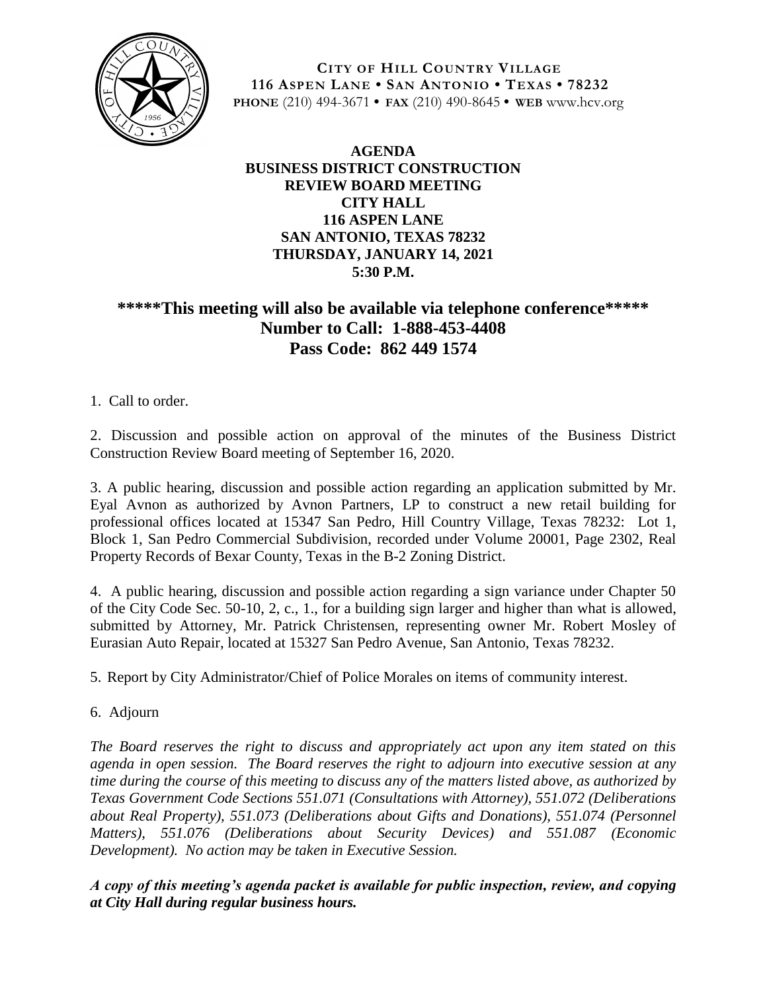

**CITY OF HILL COUNTRY VILLAGE 116 ASPEN LANE • SAN ANTONIO • TEXAS • 78232 PHONE** (210) 494-3671 **• FAX** (210) 490-8645 **• WEB** www.hcv.org

## **AGENDA BUSINESS DISTRICT CONSTRUCTION REVIEW BOARD MEETING CITY HALL 116 ASPEN LANE SAN ANTONIO, TEXAS 78232 THURSDAY, JANUARY 14, 2021 5:30 P.M.**

## **\*\*\*\*\*This meeting will also be available via telephone conference\*\*\*\*\* Number to Call: 1-888-453-4408 Pass Code: 862 449 1574**

1. Call to order.

2. Discussion and possible action on approval of the minutes of the Business District Construction Review Board meeting of September 16, 2020.

3. A public hearing, discussion and possible action regarding an application submitted by Mr. Eyal Avnon as authorized by Avnon Partners, LP to construct a new retail building for professional offices located at 15347 San Pedro, Hill Country Village, Texas 78232: Lot 1, Block 1, San Pedro Commercial Subdivision, recorded under Volume 20001, Page 2302, Real Property Records of Bexar County, Texas in the B-2 Zoning District.

4. A public hearing, discussion and possible action regarding a sign variance under Chapter 50 of the City Code Sec. 50-10, 2, c., 1., for a building sign larger and higher than what is allowed, submitted by Attorney, Mr. Patrick Christensen, representing owner Mr. Robert Mosley of Eurasian Auto Repair, located at 15327 San Pedro Avenue, San Antonio, Texas 78232.

5. Report by City Administrator/Chief of Police Morales on items of community interest.

6. Adjourn

*The Board reserves the right to discuss and appropriately act upon any item stated on this agenda in open session. The Board reserves the right to adjourn into executive session at any time during the course of this meeting to discuss any of the matters listed above, as authorized by Texas Government Code Sections 551.071 (Consultations with Attorney), 551.072 (Deliberations about Real Property), 551.073 (Deliberations about Gifts and Donations), 551.074 (Personnel Matters), 551.076 (Deliberations about Security Devices) and 551.087 (Economic Development). No action may be taken in Executive Session.*

*A copy of this meeting's agenda packet is available for public inspection, review, and copying at City Hall during regular business hours.*